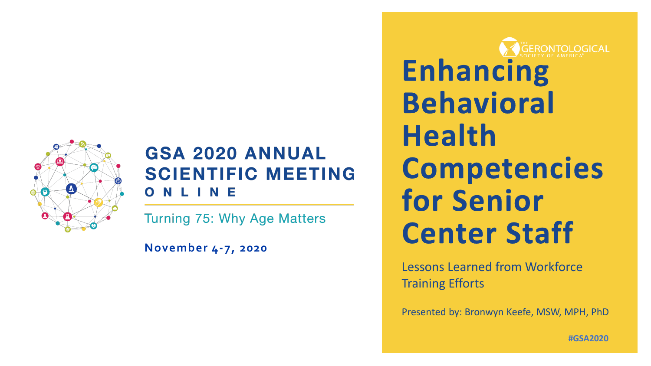

### **GSA 2020 ANNUAL SCIENTIFIC MEETING** NLINE

**Turning 75: Why Age Matters** 

**November 4-7, 2020**

**Enhancing Behavioral Health Competencies** for Senior **Center Staff** 

Lessons Learned from Workforce Training Efforts

Presented by: Bronwyn Keefe, MSW, MPH, PhD

**#GSA2020**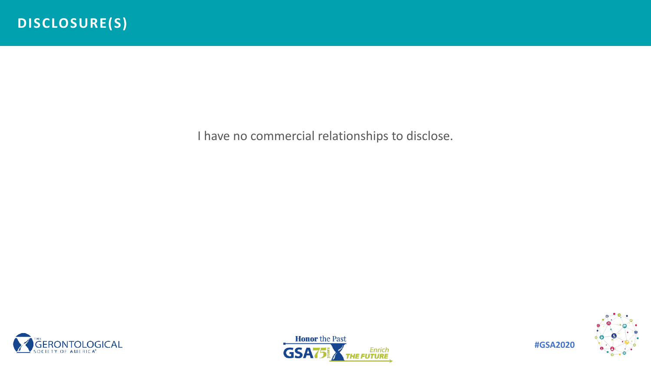I have no commercial relationships to disclose.







**#GSA2020**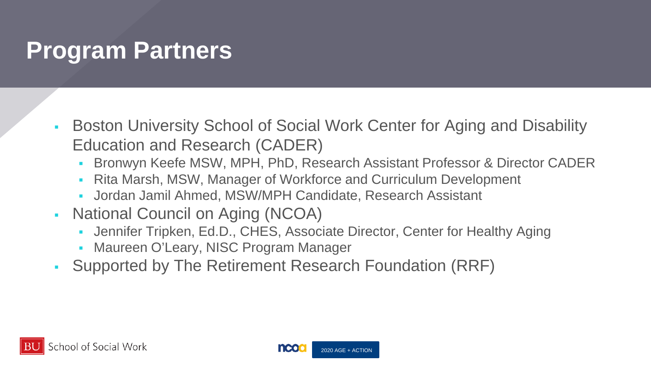## **Program Partners**

- **Boston University School of Social Work Center for Aging and Disability** Education and Research (CADER)
	- Bronwyn Keefe MSW, MPH, PhD, Research Assistant Professor & Director CADER
	- Rita Marsh, MSW, Manager of Workforce and Curriculum Development
	- Jordan Jamil Ahmed, MSW/MPH Candidate, Research Assistant
- National Council on Aging (NCOA)
	- Jennifer Tripken, Ed.D., CHES, Associate Director, Center for Healthy Aging
	- Maureen O'Leary, NISC Program Manager
- Supported by The Retirement Research Foundation (RRF)



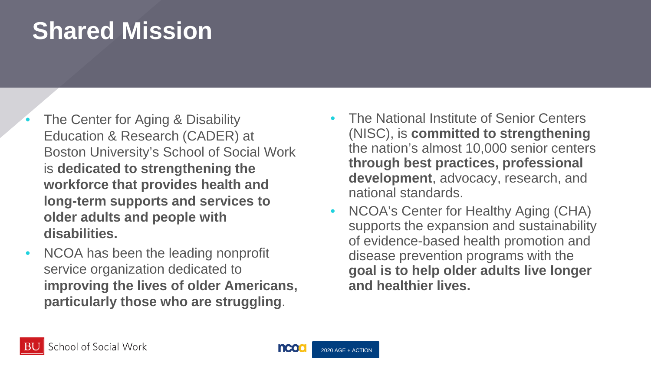## **Shared Mission**

- The Center for Aging & Disability Education & Research (CADER) at Boston University's School of Social Work is **dedicated to strengthening the workforce that provides health and long-term supports and services to older adults and people with disabilities.**
- NCOA has been the leading nonprofit service organization dedicated to **improving the lives of older Americans, particularly those who are struggling**.
- The National Institute of Senior Centers (NISC), is **committed to strengthening** the nation's almost 10,000 senior centers **through best practices, professional development**, advocacy, research, and national standards.
- NCOA's Center for Healthy Aging (CHA) supports the expansion and sustainability of evidence-based health promotion and disease prevention programs with the **goal is to help older adults live longer and healthier lives.**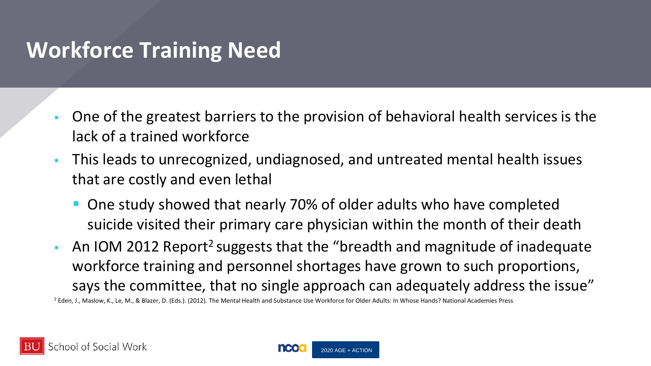## **Workforce Training Need**

- One of the greatest barriers to the provision of behavioral health services is the lack of a trained workforce
- This leads to unrecognized, undiagnosed, and untreated mental health issues that are costly and even lethal
	- One study showed that nearly 70% of older adults who have completed suicide visited their primary care physician within the month of their death
- An IOM 2012 Report<sup>2</sup> suggests that the "breadth and magnitude of inadequate workforce training and personnel shortages have grown to such proportions, says the committee, that no single approach can adequately address the issue"

<sup>2</sup> Eden, J., Maslow, K., Le, M., & Blazer, D. (Eds.). (2012). The Mental Health and Substance Use Workforce for Older Adults: In Whose Hands? National Academies Press

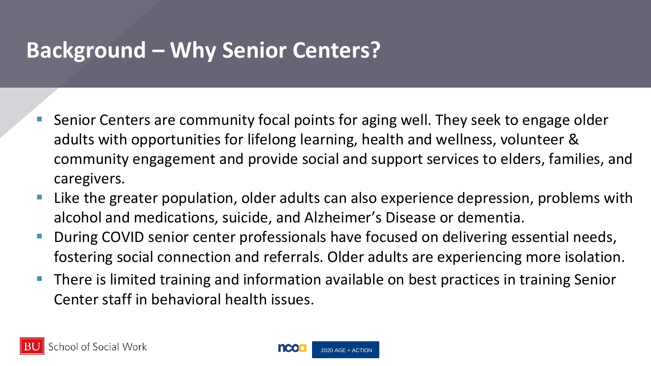## **Background – Why Senior Centers?**

- **Senior Centers are community focal points for aging well. They seek to engage older** adults with opportunities for lifelong learning, health and wellness, volunteer & community engagement and provide social and support services to elders, families, and caregivers.
- **Like the greater population, older adults can also experience depression, problems with** alcohol and medications, suicide, and Alzheimer's Disease or dementia.
- During COVID senior center professionals have focused on delivering essential needs, fostering social connection and referrals. Older adults are experiencing more isolation.
- There is limited training and information available on best practices in training Senior Center staff in behavioral health issues.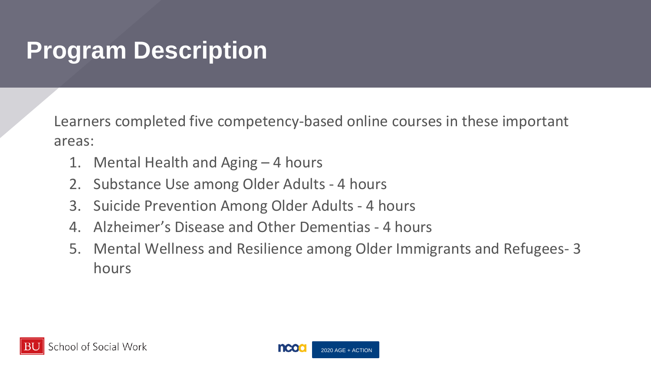## **Program Description**

Learners completed five competency-based online courses in these important areas:

- 1. Mental Health and Aging 4 hours
- 2. Substance Use among Older Adults 4 hours
- 3. Suicide Prevention Among Older Adults 4 hours
- 4. Alzheimer's Disease and Other Dementias 4 hours
- 5. Mental Wellness and Resilience among Older Immigrants and Refugees- 3 hours



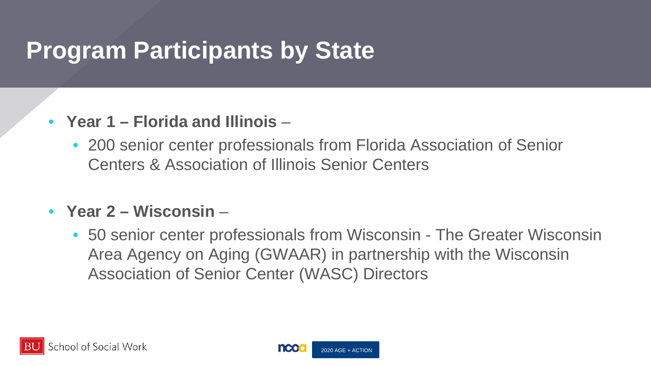## **Program Participants by State**

### • **Year 1 – Florida and Illinois** –

• 200 senior center professionals from Florida Association of Senior Centers & Association of Illinois Senior Centers

#### • **Year 2 – Wisconsin** –

• 50 senior center professionals from Wisconsin - The Greater Wisconsin Area Agency on Aging (GWAAR) in partnership with the Wisconsin Association of Senior Center (WASC) Directors



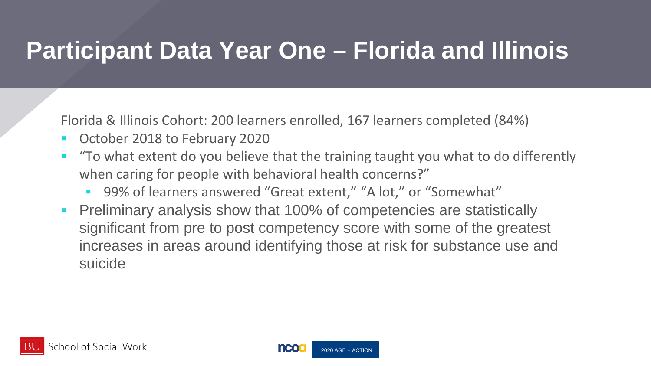## **Participant Data Year One – Florida and Illinois**

Florida & Illinois Cohort: 200 learners enrolled, 167 learners completed (84%)

- **October 2018 to February 2020**
- **The 19 To what extent do you believe that the training taught you what to do differently** when caring for people with behavioral health concerns?"
	- 99% of learners answered "Great extent," "A lot," or "Somewhat"
- Preliminary analysis show that 100% of competencies are statistically significant from pre to post competency score with some of the greatest increases in areas around identifying those at risk for substance use and suicide

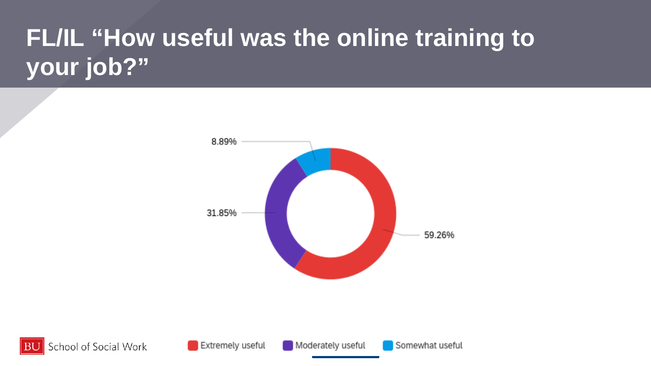# **FL/IL "How useful was the online training to your job?"**





**Extremely useful**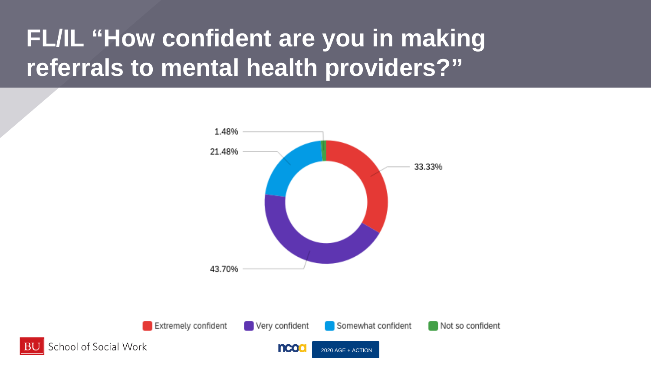## **FL/IL "How confident are you in making referrals to mental health providers?"**

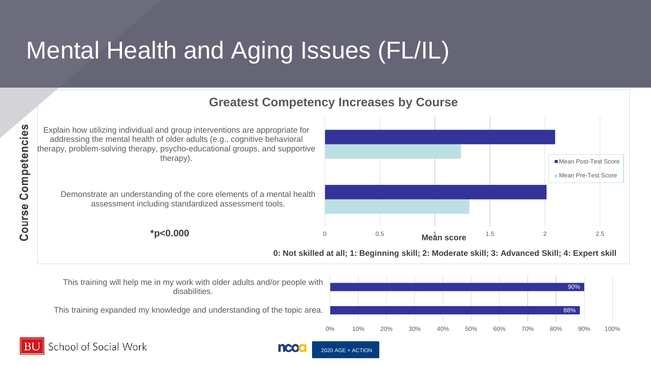# Mental Health and Aging Issues (FL/IL)



chool of Social Work

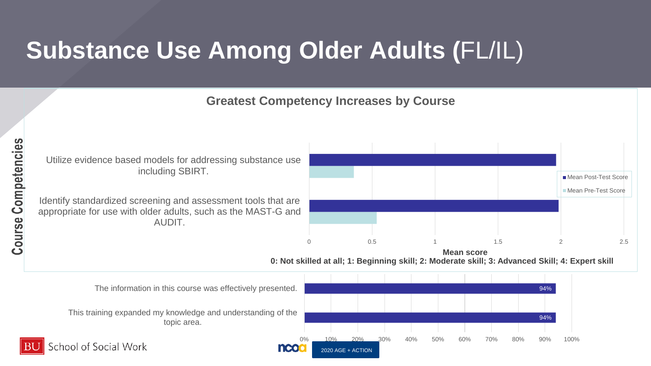# **Substance Use Among Older Adults (**FL/IL)

#### **Greatest Competency Increases by Course**

0 0 0.5 1 1.5 2 2.5 Identify standardized screening and assessment tools that are appropriate for use with older adults, such as the MAST-G and AUDIT. Utilize evidence based models for addressing substance use including SBIRT. Mean Post-Test Score **Mean Pre-Test Score Mean score 0: Not skilled at all; 1: Beginning skill; 2: Moderate skill; 3: Advanced Skill; 4: Expert skill** 94% 94% This training expanded my knowledge and understanding of the topic area. The information in this course was effectively presented.

2020 AGE + ACTION

**neo** 

0% 10% 20% 30% 40% 50% 60% 70% 80% 90% 100%

chool of Social Work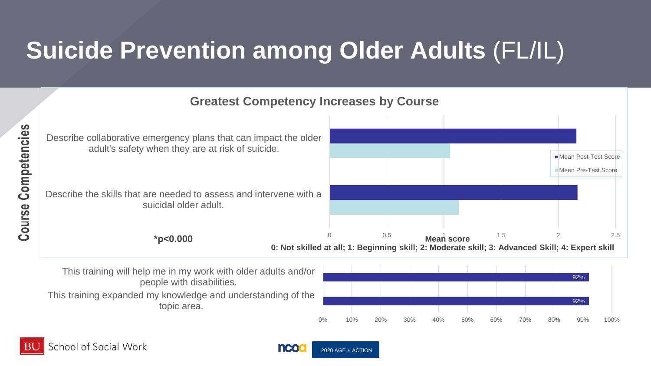# **Suicide Prevention among Older Adults** (FL/IL)

#### $0.5$  **Mean score**  $1.5$  2 2.5 Describe the skills that are needed to assess and intervene with a suicidal older adult. Describe collaborative emergency plans that can impact the older adult's safety when they are at risk of suicide. **Greatest Competency Increases by Course Mean Post-Test Score Mean Pre-Test Score 0: Not skilled at all; 1: Beginning skill; 2: Moderate skill; 3: Advanced Skill; 4: Expert skill \*p<0.000 Mean score**

This training will help me in my work with older adults and/or people with disabilities.

This training expanded my knowledge and understanding of the topic area.





Competencies

Course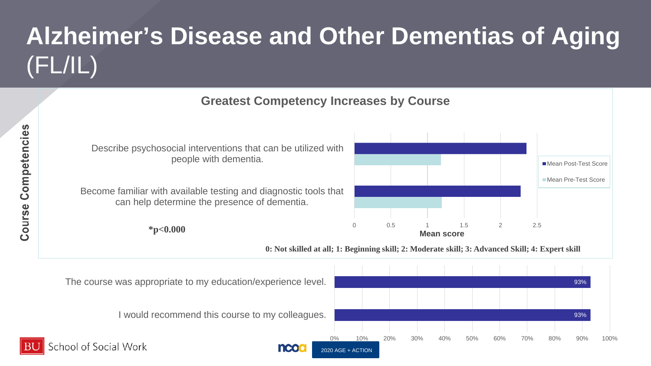# **Alzheimer's Disease and Other Dementias of Aging**  (FL/IL)



2020 AGE + ACTION

**INCO** 

93%

0% 10% 20% 30% 40% 50% 60% 70% 80% 90% 100%

I would recommend this course to my colleagues.

chool of Social Work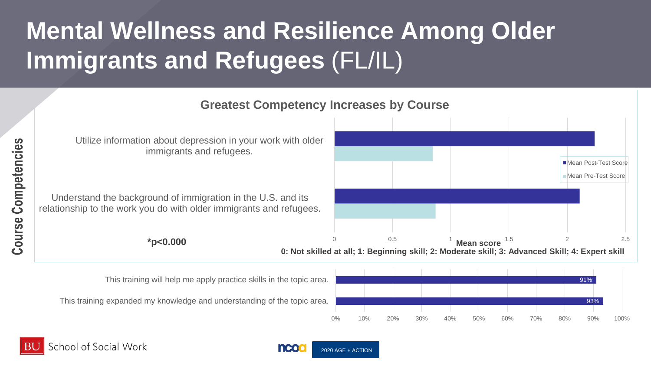# **Mental Wellness and Resilience Among Older Immigrants and Refugees** (FL/IL)

0 0.5 1 1.5 2 2.5 **\*p<0.000 Mean score** Understand the background of immigration in the U.S. and its relationship to the work you do with older immigrants and refugees. Utilize information about depression in your work with older immigrants and refugees. **Greatest Competency Increases by Course** ■ Mean Post-Test Score **Mean Pre-Test Score 0: Not skilled at all; 1: Beginning skill; 2: Moderate skill; 3: Advanced Skill; 4: Expert skill** 93% 91% 0% 10% 20% 30% 40% 50% 60% 70% 80% 90% 100% This training expanded my knowledge and understanding of the topic area. This training will help me apply practice skills in the topic area.



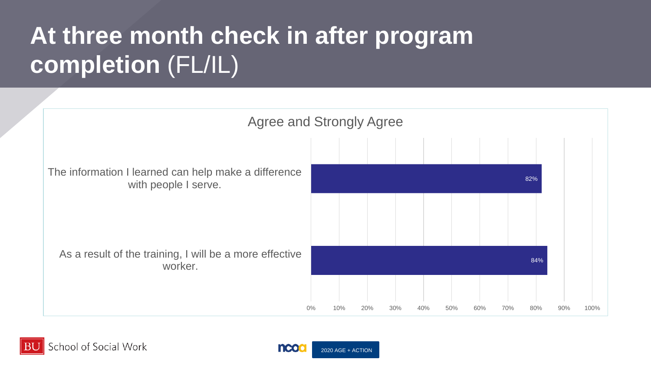# **At three month check in after program completion** (FL/IL)



School of Social Work

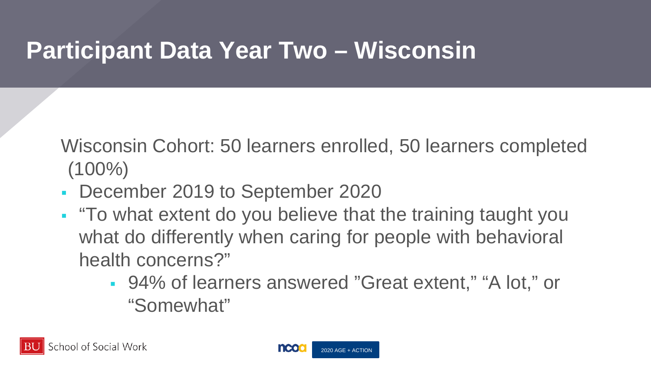## **Participant Data Year Two – Wisconsin**

Wisconsin Cohort: 50 learners enrolled, 50 learners completed  $(100\%)$ 

- December 2019 to September 2020
- . "To what extent do you believe that the training taught you what do differently when caring for people with behavioral health concerns?"
	- 94% of learners answered "Great extent," "A lot," or "Somewhat"

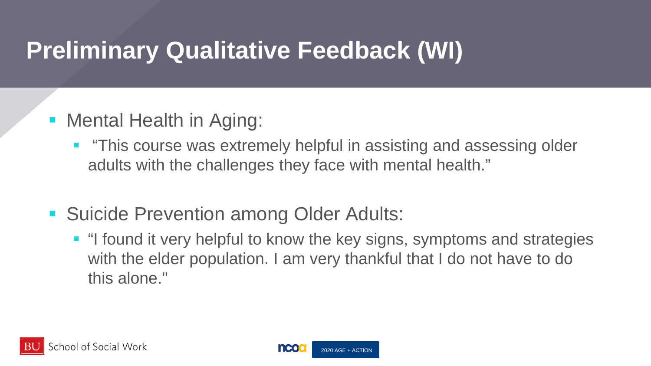## **Preliminary Qualitative Feedback (WI)**

- **Mental Health in Aging:** 
	- "This course was extremely helpful in assisting and assessing older adults with the challenges they face with mental health."
- Suicide Prevention among Older Adults:
	- **I** "I found it very helpful to know the key signs, symptoms and strategies with the elder population. I am very thankful that I do not have to do this alone."

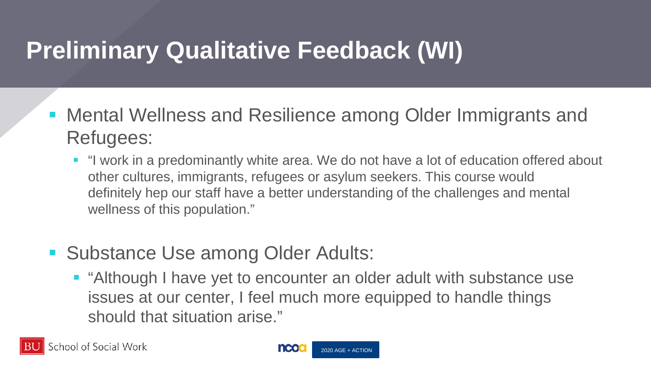## **Preliminary Qualitative Feedback (WI)**

- Mental Wellness and Resilience among Older Immigrants and Refugees:
	- "I work in a predominantly white area. We do not have a lot of education offered about other cultures, immigrants, refugees or asylum seekers. This course would definitely hep our staff have a better understanding of the challenges and mental wellness of this population."
- **Substance Use among Older Adults:** 
	- **E** "Although I have yet to encounter an older adult with substance use issues at our center, I feel much more equipped to handle things should that situation arise."

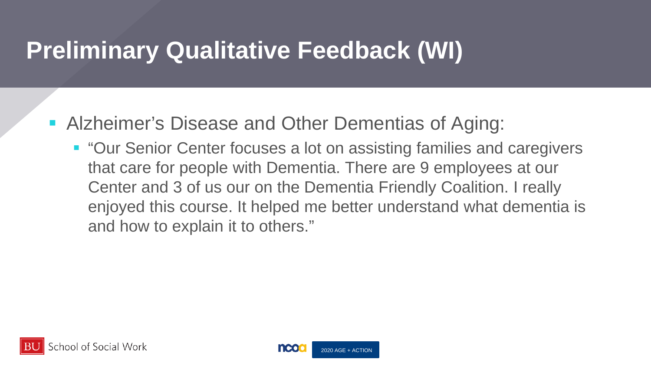## **Preliminary Qualitative Feedback (WI)**

- **Alzheimer's Disease and Other Dementias of Aging:** 
	- "Our Senior Center focuses a lot on assisting families and caregivers that care for people with Dementia. There are 9 employees at our Center and 3 of us our on the Dementia Friendly Coalition. I really enjoyed this course. It helped me better understand what dementia is and how to explain it to others."

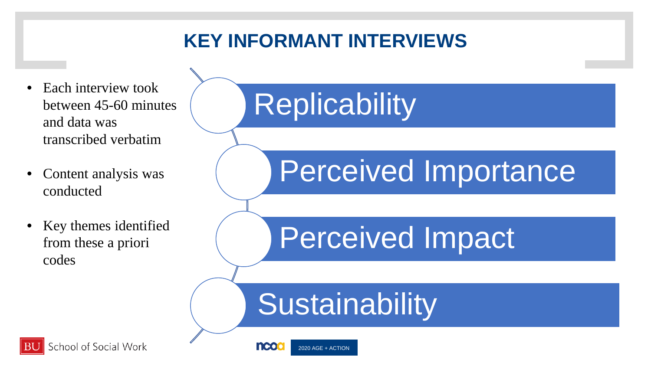### **KEY INFORMANT INTERVIEWS**

- Each interview took between 45-60 minutes and data was transcribed verbatim
- Content analysis was conducted
- Key themes identified from these a priori codes

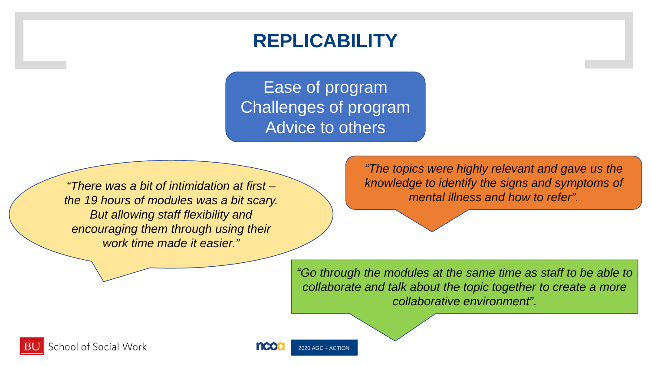### **REPLICABILITY**

Ease of program Challenges of program Advice to others

*"There was a bit of intimidation at first – the 19 hours of modules was a bit scary. But allowing staff flexibility and encouraging them through using their work time made it easier."* 

*"The topics were highly relevant and gave us the knowledge to identify the signs and symptoms of mental illness and how to refer".* 

*"Go through the modules at the same time as staff to be able to collaborate and talk about the topic together to create a more collaborative environment"*.

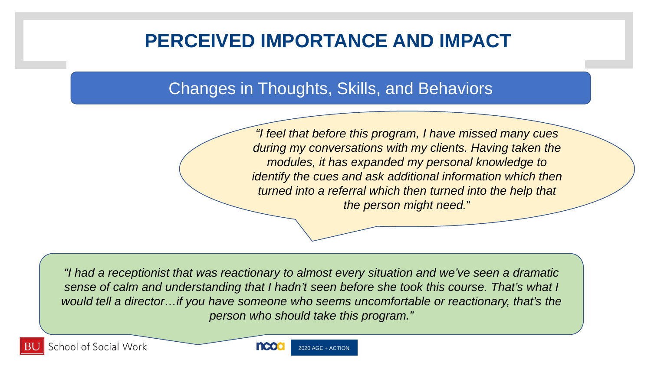### **PERCEIVED IMPORTANCE AND IMPACT**

#### Changes in Thoughts, Skills, and Behaviors

*"I feel that before this program, I have missed many cues during my conversations with my clients. Having taken the modules, it has expanded my personal knowledge to identify the cues and ask additional information which then turned into a referral which then turned into the help that the person might need.*"

*"I had a receptionist that was reactionary to almost every situation and we've seen a dramatic sense of calm and understanding that I hadn't seen before she took this course. That's what I would tell a director…if you have someone who seems uncomfortable or reactionary, that's the person who should take this program."*

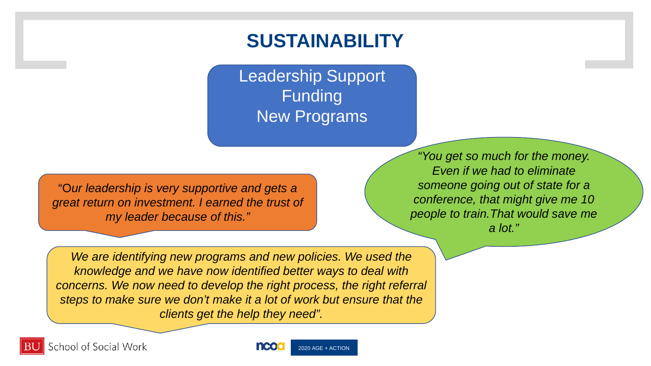### **SUSTAINABILITY**

Leadership Support Funding New Programs

"O*ur leadership is very supportive and gets a great return on investment. I earned the trust of my leader because of this."* 

*"You get so much for the money. Even if we had to eliminate someone going out of state for a conference, that might give me 10 people to train.That would save me a lot."*

*We are identifying new programs and new policies. We used the knowledge and we have now identified better ways to deal with concerns. We now need to develop the right process, the right referral steps to make sure we don't make it a lot of work but ensure that the clients get the help they need".* 

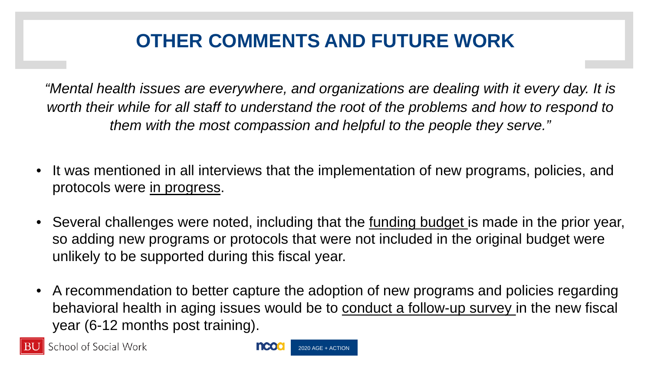### **OTHER COMMENTS AND FUTURE WORK**

*"Mental health issues are everywhere, and organizations are dealing with it every day. It is*  worth their while for all staff to understand the root of the problems and how to respond to *them with the most compassion and helpful to the people they serve."*

- It was mentioned in all interviews that the implementation of new programs, policies, and protocols were in progress.
- Several challenges were noted, including that the <u>funding budget</u> is made in the prior year, so adding new programs or protocols that were not included in the original budget were unlikely to be supported during this fiscal year.
- A recommendation to better capture the adoption of new programs and policies regarding behavioral health in aging issues would be to conduct a follow-up survey in the new fiscal year (6-12 months post training).